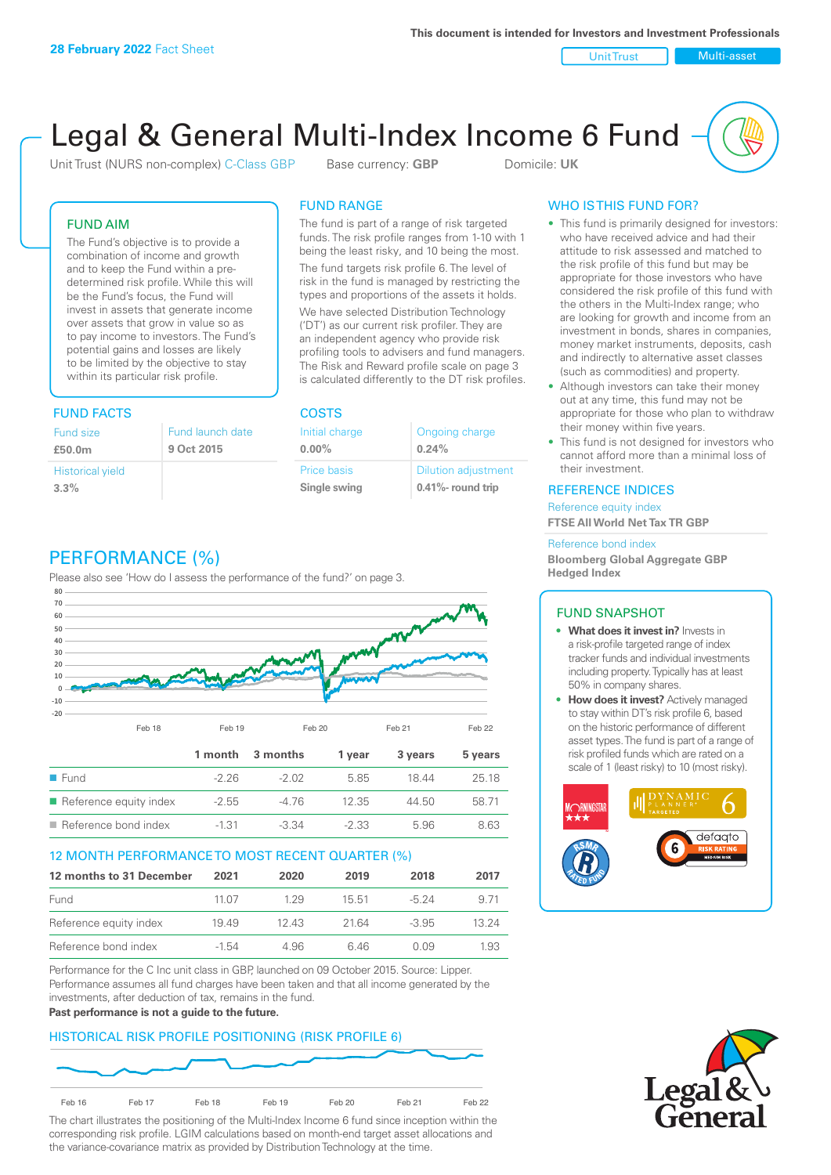Unit Trust Nulti-asset

# Legal & General Multi-Index Income 6 Fund

Unit Trust (NURS non-complex) C-Class GBP Base currency: **GBP** Domicile: UK

### FUND AIM

The Fund's objective is to provide a combination of income and growth and to keep the Fund within a predetermined risk profile. While this will be the Fund's focus, the Fund will invest in assets that generate income over assets that grow in value so as to pay income to investors. The Fund's potential gains and losses are likely to be limited by the objective to stay within its particular risk profile.

### FUND FACTS COSTS

| Fund size               | Fund launch date |
|-------------------------|------------------|
| £50.0m                  | 9 Oct 2015       |
| <b>Historical yield</b> |                  |
| 3.3%                    |                  |

### FUND RANGE

The fund is part of a range of risk targeted funds. The risk profile ranges from 1-10 with 1 being the least risky, and 10 being the most.

The fund targets risk profile 6. The level of risk in the fund is managed by restricting the types and proportions of the assets it holds. We have selected Distribution Technology ('DT') as our current risk profiler. They are an independent agency who provide risk profiling tools to advisers and fund managers. The Risk and Reward profile scale on page 3 is calculated differently to the DT risk profiles.

| Initial charge | Ongoing charge             |
|----------------|----------------------------|
| $0.00\%$       | 0.24%                      |
| Price basis    | <b>Dilution adjustment</b> |
| Single swing   | $0.41\%$ - round trip      |

# WHO IS THIS FUND FOR?

- This fund is primarily designed for investors: who have received advice and had their attitude to risk assessed and matched to the risk profile of this fund but may be appropriate for those investors who have considered the risk profile of this fund with the others in the Multi-Index range; who are looking for growth and income from an investment in bonds, shares in companies, money market instruments, deposits, cash and indirectly to alternative asset classes (such as commodities) and property.
- Although investors can take their money out at any time, this fund may not be appropriate for those who plan to withdraw their money within five years.
- This fund is not designed for investors who cannot afford more than a minimal loss of their investment.

### REFERENCE INDICES

Reference equity index **FTSE All World Net Tax TR GBP**

#### Reference bond index

**Bloomberg Global Aggregate GBP Hedged Index**

### FUND SNAPSHOT

- **• What does it invest in?** Invests in a risk-profile targeted range of index tracker funds and individual investments including property. Typically has at least 50% in company shares.
- **• How does it invest?** Actively managed to stay within DT's risk profile 6, based on the historic performance of different asset types. The fund is part of a range of risk profiled funds which are rated on a scale of 1 (least risky) to 10 (most risky).





### PERFORMANCE (%)

Please also see 'How do I assess the performance of the fund?' on page 3.



### 12 MONTH PERFORMANCE TO MOST RECENT QUARTER (%)

| 12 months to 31 December | 2021    | 2020 | 2019  | 2018    | 2017  |
|--------------------------|---------|------|-------|---------|-------|
| Fund                     | 11 07   | 129  | 15.51 | $-5.24$ | 9 71  |
| Reference equity index   | 1949    | 1243 | 2164  | $-3.95$ | 13 24 |
| Reference bond index     | $-1.54$ | 4.96 | 646   | O 0.9   | 1.93  |

Performance for the C Inc unit class in GBP, launched on 09 October 2015. Source: Lipper. Performance assumes all fund charges have been taken and that all income generated by the investments, after deduction of tax, remains in the fund.

#### **Past performance is not a guide to the future.**

### HISTORICAL RISK PROFILE POSITIONING (RISK PROFILE 6)



The chart illustrates the positioning of the Multi-Index Income 6 fund since inception within the corresponding risk profile. LGIM calculations based on month-end target asset allocations and the variance-covariance matrix as provided by Distribution Technology at the time.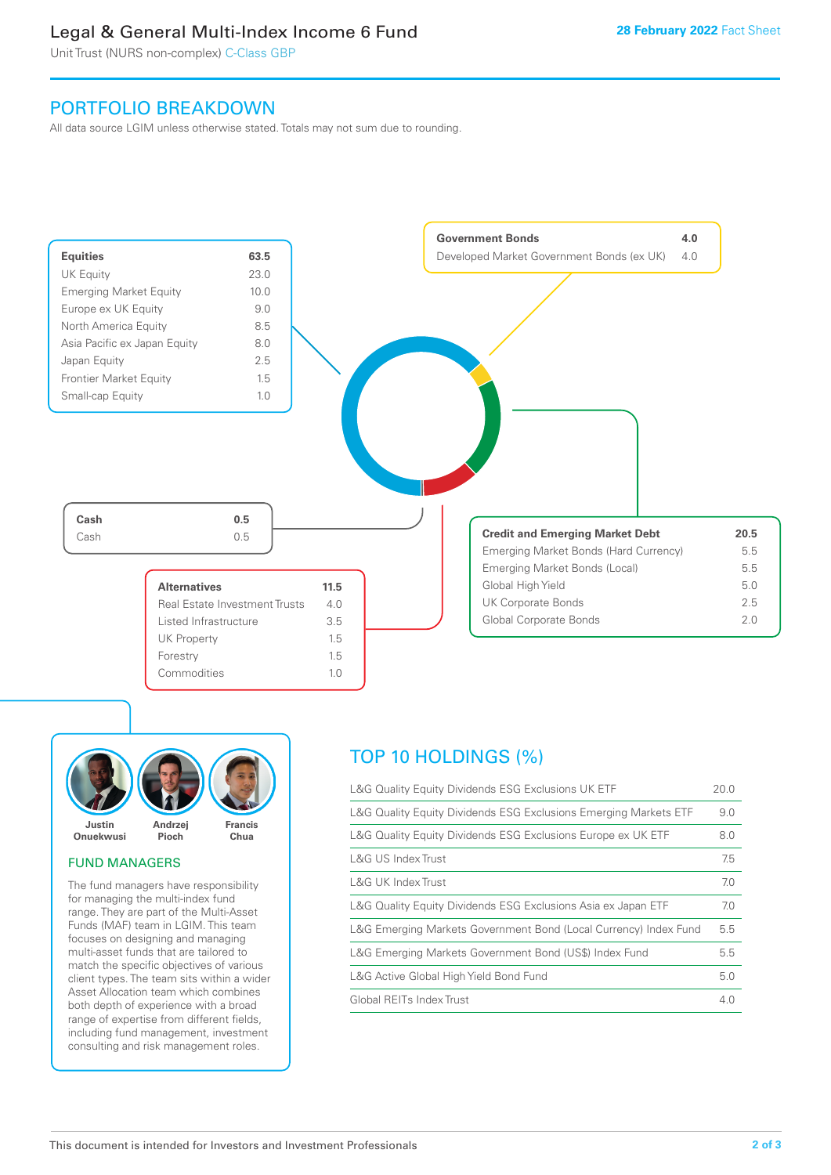### Legal & General Multi-Index Income 6 Fund

Unit Trust (NURS non-complex) C-Class GBP

### PORTFOLIO BREAKDOWN

All data source LGIM unless otherwise stated. Totals may not sum due to rounding.





### FUND MANAGERS

The fund managers have responsibility for managing the multi-index fund range. They are part of the Multi-Asset Funds (MAF) team in LGIM. This team focuses on designing and managing multi-asset funds that are tailored to match the specific objectives of various client types. The team sits within a wider Asset Allocation team which combines both depth of experience with a broad range of expertise from different fields, including fund management, investment consulting and risk management roles.

### TOP 10 HOLDINGS (%)

| L&G Quality Equity Dividends ESG Exclusions UK ETF               | 20.0 |
|------------------------------------------------------------------|------|
| L&G Quality Equity Dividends ESG Exclusions Emerging Markets ETF | 9.0  |
| L&G Quality Equity Dividends ESG Exclusions Europe ex UK ETF     | 8.0  |
| L&G US Index Trust                                               | 7.5  |
| L&G UK Index Trust                                               | 7.0  |
| L&G Quality Equity Dividends ESG Exclusions Asia ex Japan ETF    | 7.0  |
| L&G Emerging Markets Government Bond (Local Currency) Index Fund | 5.5  |
| L&G Emerging Markets Government Bond (US\$) Index Fund           | 5.5  |
| L&G Active Global High Yield Bond Fund                           | 5.0  |
| Global REITs Index Trust                                         | 4.0  |